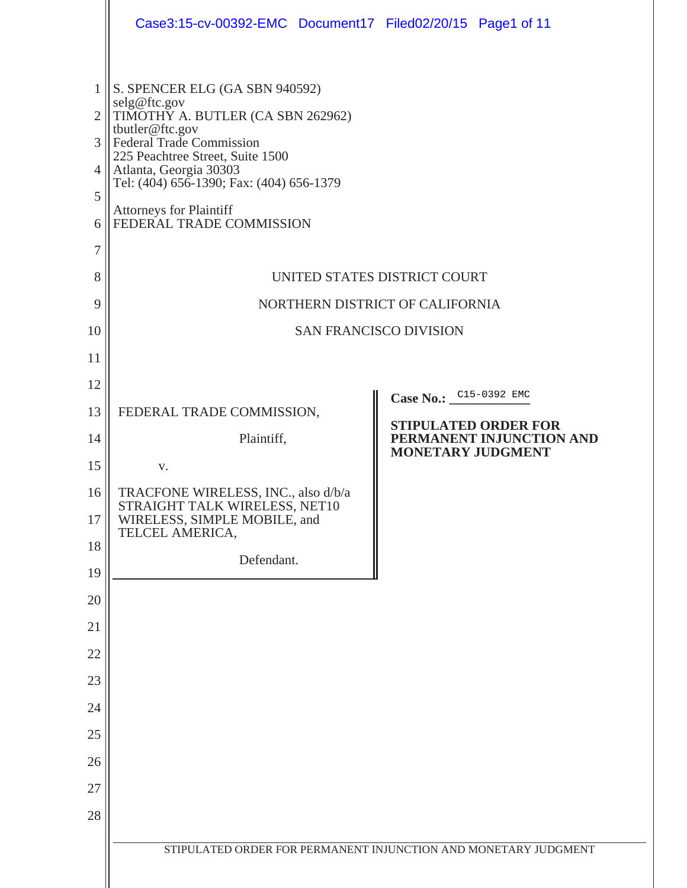|                                                                          | Case3:15-cv-00392-EMC Document17 Filed02/20/15 Page1 of 11                                                                                                                                                                                                                                                                                                                           |                                                         |                          |
|--------------------------------------------------------------------------|--------------------------------------------------------------------------------------------------------------------------------------------------------------------------------------------------------------------------------------------------------------------------------------------------------------------------------------------------------------------------------------|---------------------------------------------------------|--------------------------|
| 1<br>$\overline{2}$<br>3<br>4<br>5<br>6<br>7<br>8<br>9<br>10<br>11<br>12 | S. SPENCER ELG (GA SBN 940592)<br>selg@ftc.gov<br>TIMOTHY A. BUTLER (CA SBN 262962)<br>tbutler@ftc.gov<br><b>Federal Trade Commission</b><br>225 Peachtree Street, Suite 1500<br>Atlanta, Georgia 30303<br>Tel: (404) 656-1390; Fax: (404) 656-1379<br><b>Attorneys for Plaintiff</b><br>FEDERAL TRADE COMMISSION<br>UNITED STATES DISTRICT COURT<br>NORTHERN DISTRICT OF CALIFORNIA | <b>SAN FRANCISCO DIVISION</b>                           |                          |
| 13                                                                       | FEDERAL TRADE COMMISSION,                                                                                                                                                                                                                                                                                                                                                            | Case No.: C15-0392 EMC                                  |                          |
| 14                                                                       | Plaintiff,                                                                                                                                                                                                                                                                                                                                                                           | <b>STIPULATED ORDER FOR</b><br><b>MONETARY JUDGMENT</b> | PERMANENT INJUNCTION AND |
| 15                                                                       | V.                                                                                                                                                                                                                                                                                                                                                                                   |                                                         |                          |
| 16<br>17                                                                 | TRACFONE WIRELESS, INC., also d/b/a<br>STRAIGHT TALK WIRELESS, NET10<br>WIRELESS, SIMPLE MOBILE, and                                                                                                                                                                                                                                                                                 |                                                         |                          |
| 18                                                                       | TELCEL AMERICA,                                                                                                                                                                                                                                                                                                                                                                      |                                                         |                          |
| 19                                                                       | Defendant.                                                                                                                                                                                                                                                                                                                                                                           |                                                         |                          |
| 20                                                                       |                                                                                                                                                                                                                                                                                                                                                                                      |                                                         |                          |
| 21                                                                       |                                                                                                                                                                                                                                                                                                                                                                                      |                                                         |                          |
| 22                                                                       |                                                                                                                                                                                                                                                                                                                                                                                      |                                                         |                          |
| 23                                                                       |                                                                                                                                                                                                                                                                                                                                                                                      |                                                         |                          |
| 24                                                                       |                                                                                                                                                                                                                                                                                                                                                                                      |                                                         |                          |
| 25                                                                       |                                                                                                                                                                                                                                                                                                                                                                                      |                                                         |                          |
| 26                                                                       |                                                                                                                                                                                                                                                                                                                                                                                      |                                                         |                          |
| 27                                                                       |                                                                                                                                                                                                                                                                                                                                                                                      |                                                         |                          |
| 28                                                                       |                                                                                                                                                                                                                                                                                                                                                                                      |                                                         |                          |
|                                                                          | STIPULATED ORDER FOR PERMANENT INJUNCTION AND MONETARY JUDGMENT                                                                                                                                                                                                                                                                                                                      |                                                         |                          |
|                                                                          |                                                                                                                                                                                                                                                                                                                                                                                      |                                                         |                          |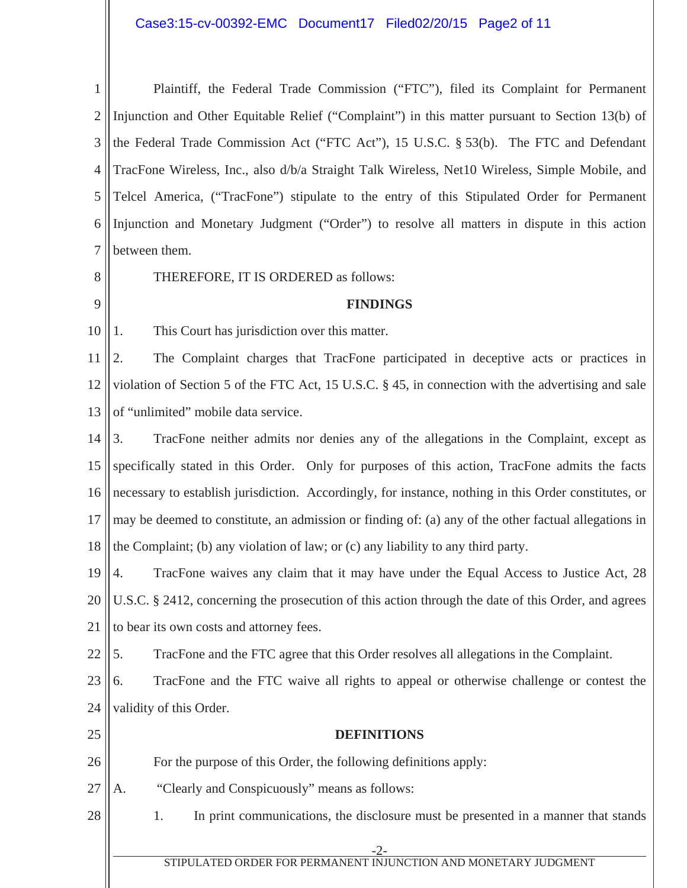# Case3:15-cv-00392-EMC Document17 Filed02/20/15 Page2 of 11

| $\mathbf{1}$   | Plaintiff, the Federal Trade Commission ("FTC"), filed its Complaint for Permanent                    |  |  |
|----------------|-------------------------------------------------------------------------------------------------------|--|--|
| $\overline{2}$ | Injunction and Other Equitable Relief ("Complaint") in this matter pursuant to Section 13(b) of       |  |  |
| 3              | the Federal Trade Commission Act ("FTC Act"), 15 U.S.C. § 53(b). The FTC and Defendant                |  |  |
| $\overline{4}$ | TracFone Wireless, Inc., also d/b/a Straight Talk Wireless, Net10 Wireless, Simple Mobile, and        |  |  |
| 5              | Telcel America, ("TracFone") stipulate to the entry of this Stipulated Order for Permanent            |  |  |
| 6              | Injunction and Monetary Judgment ("Order") to resolve all matters in dispute in this action           |  |  |
| $\tau$         | between them.                                                                                         |  |  |
| 8              | THEREFORE, IT IS ORDERED as follows:                                                                  |  |  |
| 9              | <b>FINDINGS</b>                                                                                       |  |  |
| 10             | This Court has jurisdiction over this matter.<br>1.                                                   |  |  |
| 11             | The Complaint charges that TracFone participated in deceptive acts or practices in<br>2.              |  |  |
| 12             | violation of Section 5 of the FTC Act, 15 U.S.C. § 45, in connection with the advertising and sale    |  |  |
| 13             | of "unlimited" mobile data service.                                                                   |  |  |
| 14             | TracFone neither admits nor denies any of the allegations in the Complaint, except as<br>3.           |  |  |
| 15             | specifically stated in this Order. Only for purposes of this action, TracFone admits the facts        |  |  |
| 16             | necessary to establish jurisdiction. Accordingly, for instance, nothing in this Order constitutes, or |  |  |
| 17             | may be deemed to constitute, an admission or finding of: (a) any of the other factual allegations in  |  |  |
| 18             | the Complaint; (b) any violation of law; or (c) any liability to any third party.                     |  |  |
| 19  4.         | TracFone waives any claim that it may have under the Equal Access to Justice Act, 28                  |  |  |
| 20             | U.S.C. § 2412, concerning the prosecution of this action through the date of this Order, and agrees   |  |  |
| 21             | to bear its own costs and attorney fees.                                                              |  |  |
| 22             | TracFone and the FTC agree that this Order resolves all allegations in the Complaint.<br>5.           |  |  |
| 23             | TracFone and the FTC waive all rights to appeal or otherwise challenge or contest the<br>6.           |  |  |
| 24             | validity of this Order.                                                                               |  |  |
| 25             | <b>DEFINITIONS</b>                                                                                    |  |  |
| 26             | For the purpose of this Order, the following definitions apply:                                       |  |  |
| 27             | "Clearly and Conspicuously" means as follows:<br>A.                                                   |  |  |
| 28             | In print communications, the disclosure must be presented in a manner that stands<br>1.               |  |  |
|                |                                                                                                       |  |  |
|                | -2-<br>STIPULATED ORDER FOR PERMANENT INJUNCTION AND MONETARY JUDGMENT                                |  |  |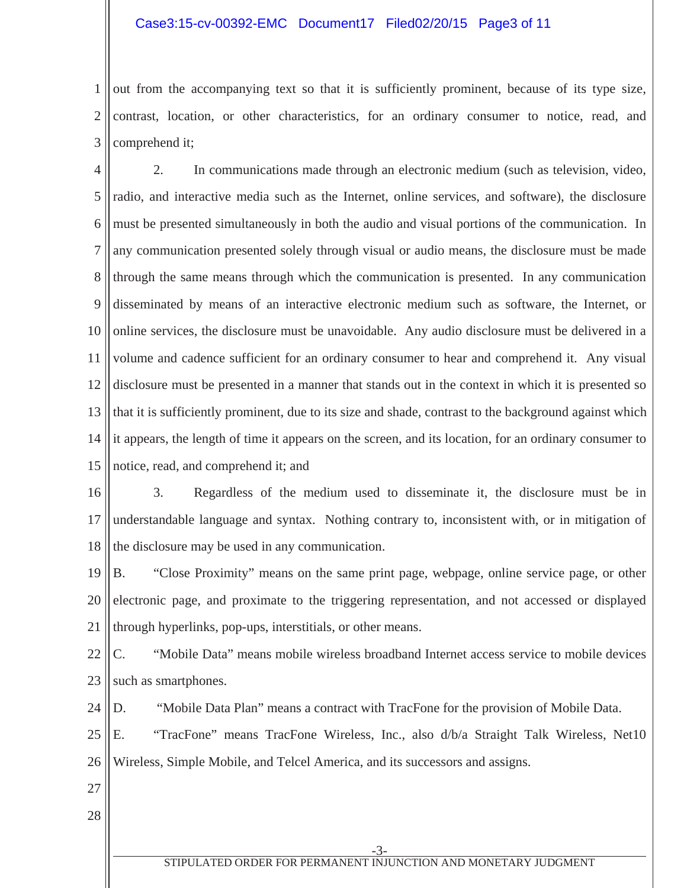### Case3:15-cv-00392-EMC Document17 Filed02/20/15 Page3 of 11

1 2 3 out from the accompanying text so that it is sufficiently prominent, because of its type size, contrast, location, or other characteristics, for an ordinary consumer to notice, read, and comprehend it;

4 5 6 7 8 9 10 11 12 13 14 15 2. In communications made through an electronic medium (such as television, video, radio, and interactive media such as the Internet, online services, and software), the disclosure must be presented simultaneously in both the audio and visual portions of the communication. In any communication presented solely through visual or audio means, the disclosure must be made through the same means through which the communication is presented. In any communication disseminated by means of an interactive electronic medium such as software, the Internet, or online services, the disclosure must be unavoidable. Any audio disclosure must be delivered in a volume and cadence sufficient for an ordinary consumer to hear and comprehend it. Any visual disclosure must be presented in a manner that stands out in the context in which it is presented so that it is sufficiently prominent, due to its size and shade, contrast to the background against which it appears, the length of time it appears on the screen, and its location, for an ordinary consumer to notice, read, and comprehend it; and

16 17 18 3. Regardless of the medium used to disseminate it, the disclosure must be in understandable language and syntax. Nothing contrary to, inconsistent with, or in mitigation of the disclosure may be used in any communication.

19 20 21 B. "Close Proximity" means on the same print page, webpage, online service page, or other electronic page, and proximate to the triggering representation, and not accessed or displayed through hyperlinks, pop-ups, interstitials, or other means.

22 23 C. "Mobile Data" means mobile wireless broadband Internet access service to mobile devices such as smartphones.

24 D. "Mobile Data Plan" means a contract with TracFone for the provision of Mobile Data.

25 26 E. "TracFone" means TracFone Wireless, Inc., also d/b/a Straight Talk Wireless, Net10 Wireless, Simple Mobile, and Telcel America, and its successors and assigns.

- 27
- 28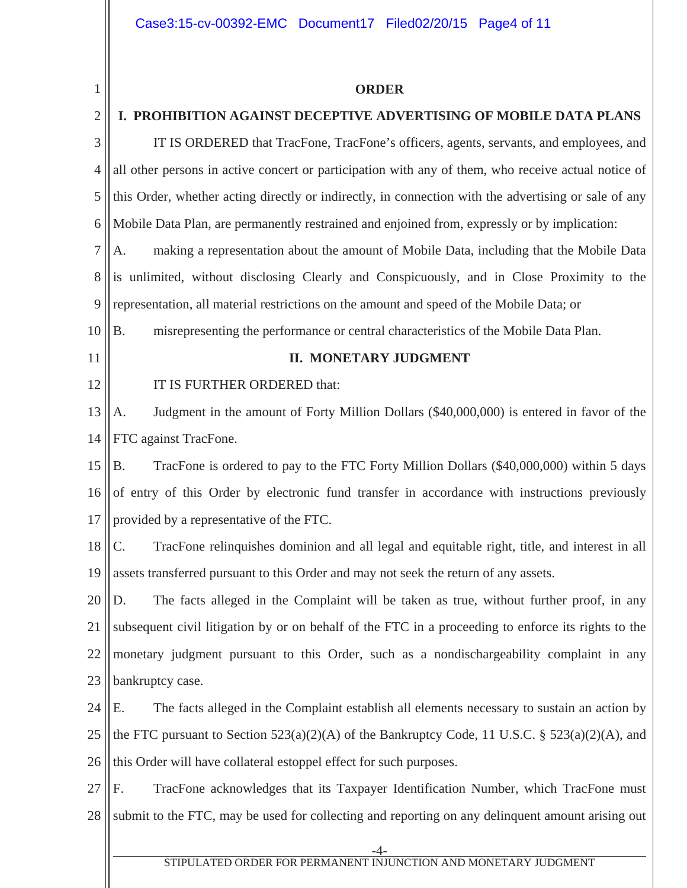#### **ORDER**

#### 2 **I. PROHIBITION AGAINST DECEPTIVE ADVERTISING OF MOBILE DATA PLANS**

3 4 5 6 7 IT IS ORDERED that TracFone, TracFone's officers, agents, servants, and employees, and all other persons in active concert or participation with any of them, who receive actual notice of this Order, whether acting directly or indirectly, in connection with the advertising or sale of any Mobile Data Plan, are permanently restrained and enjoined from, expressly or by implication: A. making a representation about the amount of Mobile Data, including that the Mobile Data

8 9 is unlimited, without disclosing Clearly and Conspicuously, and in Close Proximity to the representation, all material restrictions on the amount and speed of the Mobile Data; or

10 B. misrepresenting the performance or central characteristics of the Mobile Data Plan.

11

12

1

#### **II. MONETARY JUDGMENT**

#### IT IS FURTHER ORDERED that:

13 14 A. Judgment in the amount of Forty Million Dollars (\$40,000,000) is entered in favor of the FTC against TracFone.

15 16 17 B. TracFone is ordered to pay to the FTC Forty Million Dollars (\$40,000,000) within 5 days of entry of this Order by electronic fund transfer in accordance with instructions previously provided by a representative of the FTC.

18 19 C. TracFone relinquishes dominion and all legal and equitable right, title, and interest in all assets transferred pursuant to this Order and may not seek the return of any assets.

20 21 22 23 D. The facts alleged in the Complaint will be taken as true, without further proof, in any subsequent civil litigation by or on behalf of the FTC in a proceeding to enforce its rights to the monetary judgment pursuant to this Order, such as a nondischargeability complaint in any bankruptcy case.

24 25 26 E. The facts alleged in the Complaint establish all elements necessary to sustain an action by the FTC pursuant to Section  $523(a)(2)(A)$  of the Bankruptcy Code, 11 U.S.C. §  $523(a)(2)(A)$ , and this Order will have collateral estoppel effect for such purposes.

27 28 F. TracFone acknowledges that its Taxpayer Identification Number, which TracFone must submit to the FTC, may be used for collecting and reporting on any delinquent amount arising out

-4-

#### STIPULATED ORDER FOR PERMANENT INJUNCTION AND MONETARY JUDGMENT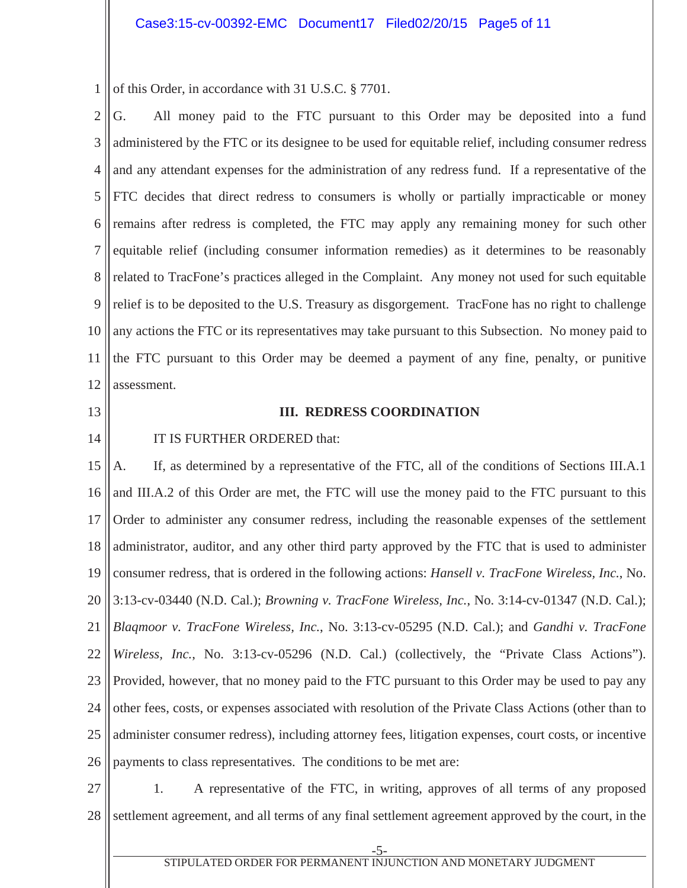1 of this Order, in accordance with 31 U.S.C. § 7701.

2 3 4 5 6 7 8 9 10 11 12 G. All money paid to the FTC pursuant to this Order may be deposited into a fund administered by the FTC or its designee to be used for equitable relief, including consumer redress and any attendant expenses for the administration of any redress fund. If a representative of the FTC decides that direct redress to consumers is wholly or partially impracticable or money remains after redress is completed, the FTC may apply any remaining money for such other equitable relief (including consumer information remedies) as it determines to be reasonably related to TracFone's practices alleged in the Complaint. Any money not used for such equitable relief is to be deposited to the U.S. Treasury as disgorgement. TracFone has no right to challenge any actions the FTC or its representatives may take pursuant to this Subsection. No money paid to the FTC pursuant to this Order may be deemed a payment of any fine, penalty, or punitive assessment.

- 13
- 14

#### **III. REDRESS COORDINATION**

IT IS FURTHER ORDERED that:

15 16 17 18 19 20 21 22 23 24 25 26 A. If, as determined by a representative of the FTC, all of the conditions of Sections III.A.1 and III.A.2 of this Order are met, the FTC will use the money paid to the FTC pursuant to this Order to administer any consumer redress, including the reasonable expenses of the settlement administrator, auditor, and any other third party approved by the FTC that is used to administer consumer redress, that is ordered in the following actions: *Hansell v. TracFone Wireless, Inc.*, No. 3:13-cv-03440 (N.D. Cal.); *Browning v. TracFone Wireless, Inc.*, No. 3:14-cv-01347 (N.D. Cal.); *Blaqmoor v. TracFone Wireless, Inc.*, No. 3:13-cv-05295 (N.D. Cal.); and *Gandhi v. TracFone Wireless, Inc.*, No. 3:13-cv-05296 (N.D. Cal.) (collectively, the "Private Class Actions"). Provided, however, that no money paid to the FTC pursuant to this Order may be used to pay any other fees, costs, or expenses associated with resolution of the Private Class Actions (other than to administer consumer redress), including attorney fees, litigation expenses, court costs, or incentive payments to class representatives. The conditions to be met are:

27 28 1. A representative of the FTC, in writing, approves of all terms of any proposed settlement agreement, and all terms of any final settlement agreement approved by the court, in the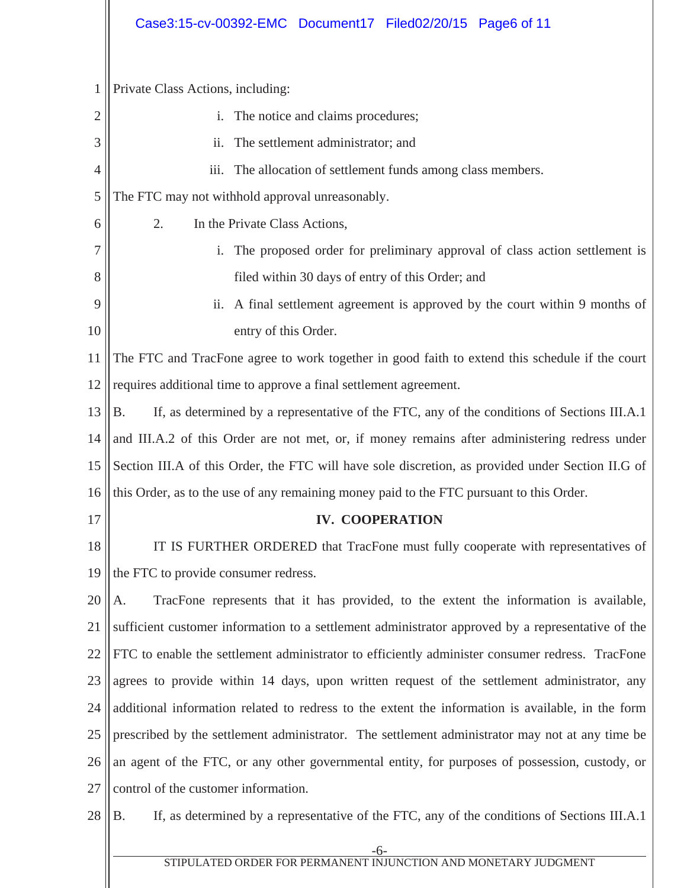|                | Case3:15-cv-00392-EMC Document17 Filed02/20/15 Page6 of 11                                        |  |  |
|----------------|---------------------------------------------------------------------------------------------------|--|--|
|                |                                                                                                   |  |  |
| $\mathbf{1}$   | Private Class Actions, including:                                                                 |  |  |
| $\overline{2}$ | The notice and claims procedures;<br>$\mathbf{i}$ .                                               |  |  |
| 3              | The settlement administrator; and<br>$\overline{11}$ .                                            |  |  |
| 4              | The allocation of settlement funds among class members.<br>$\overline{111}$ .                     |  |  |
| 5              | The FTC may not withhold approval unreasonably.                                                   |  |  |
| 6              | 2.<br>In the Private Class Actions,                                                               |  |  |
| 7              | The proposed order for preliminary approval of class action settlement is<br>$\mathbf{i}$ .       |  |  |
| 8              | filed within 30 days of entry of this Order; and                                                  |  |  |
| 9              | ii. A final settlement agreement is approved by the court within 9 months of                      |  |  |
| 10             | entry of this Order.                                                                              |  |  |
| 11             | The FTC and TracFone agree to work together in good faith to extend this schedule if the court    |  |  |
| 12             | requires additional time to approve a final settlement agreement.                                 |  |  |
| 13             | If, as determined by a representative of the FTC, any of the conditions of Sections III.A.1<br>Β. |  |  |
| 14             | and III.A.2 of this Order are not met, or, if money remains after administering redress under     |  |  |
| 15             | Section III.A of this Order, the FTC will have sole discretion, as provided under Section II.G of |  |  |
| 16             | this Order, as to the use of any remaining money paid to the FTC pursuant to this Order.          |  |  |
| 17             | <b>IV. COOPERATION</b>                                                                            |  |  |
| 18             | IT IS FURTHER ORDERED that TracFone must fully cooperate with representatives of                  |  |  |
| 19             | the FTC to provide consumer redress.                                                              |  |  |
| 20             | TracFone represents that it has provided, to the extent the information is available,<br>А.       |  |  |
| 21             | sufficient customer information to a settlement administrator approved by a representative of the |  |  |
| 22             | FTC to enable the settlement administrator to efficiently administer consumer redress. TracFone   |  |  |
| 23             | agrees to provide within 14 days, upon written request of the settlement administrator, any       |  |  |
| 24             | additional information related to redress to the extent the information is available, in the form |  |  |
| 25             | prescribed by the settlement administrator. The settlement administrator may not at any time be   |  |  |
| 26             | an agent of the FTC, or any other governmental entity, for purposes of possession, custody, or    |  |  |
| 27             | control of the customer information.                                                              |  |  |
| 28             | If, as determined by a representative of the FTC, any of the conditions of Sections III.A.1<br>Β. |  |  |
|                |                                                                                                   |  |  |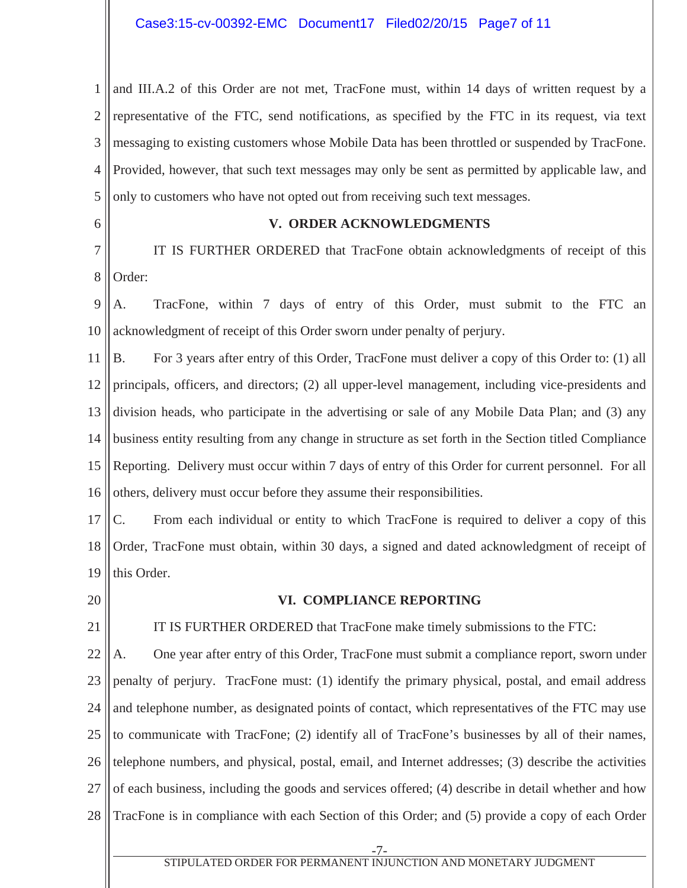1 2 3 4 5 and III.A.2 of this Order are not met, TracFone must, within 14 days of written request by a representative of the FTC, send notifications, as specified by the FTC in its request, via text messaging to existing customers whose Mobile Data has been throttled or suspended by TracFone. Provided, however, that such text messages may only be sent as permitted by applicable law, and only to customers who have not opted out from receiving such text messages.

6

#### **V. ORDER ACKNOWLEDGMENTS**

7 8 IT IS FURTHER ORDERED that TracFone obtain acknowledgments of receipt of this Order:

9 10 A. TracFone, within 7 days of entry of this Order, must submit to the FTC an acknowledgment of receipt of this Order sworn under penalty of perjury.

11 12 13 14 15 16 B. For 3 years after entry of this Order, TracFone must deliver a copy of this Order to: (1) all principals, officers, and directors; (2) all upper-level management, including vice-presidents and division heads, who participate in the advertising or sale of any Mobile Data Plan; and (3) any business entity resulting from any change in structure as set forth in the Section titled Compliance Reporting. Delivery must occur within 7 days of entry of this Order for current personnel. For all others, delivery must occur before they assume their responsibilities.

17 18 19 C. From each individual or entity to which TracFone is required to deliver a copy of this Order, TracFone must obtain, within 30 days, a signed and dated acknowledgment of receipt of this Order.

20

### **VI. COMPLIANCE REPORTING**

21 22 23 24 25 26 27 28 IT IS FURTHER ORDERED that TracFone make timely submissions to the FTC: A. One year after entry of this Order, TracFone must submit a compliance report, sworn under penalty of perjury. TracFone must: (1) identify the primary physical, postal, and email address and telephone number, as designated points of contact, which representatives of the FTC may use to communicate with TracFone; (2) identify all of TracFone's businesses by all of their names, telephone numbers, and physical, postal, email, and Internet addresses; (3) describe the activities of each business, including the goods and services offered; (4) describe in detail whether and how TracFone is in compliance with each Section of this Order; and (5) provide a copy of each Order

 -7- STIPULATED ORDER FOR PERMANENT INJUNCTION AND MONETARY JUDGMENT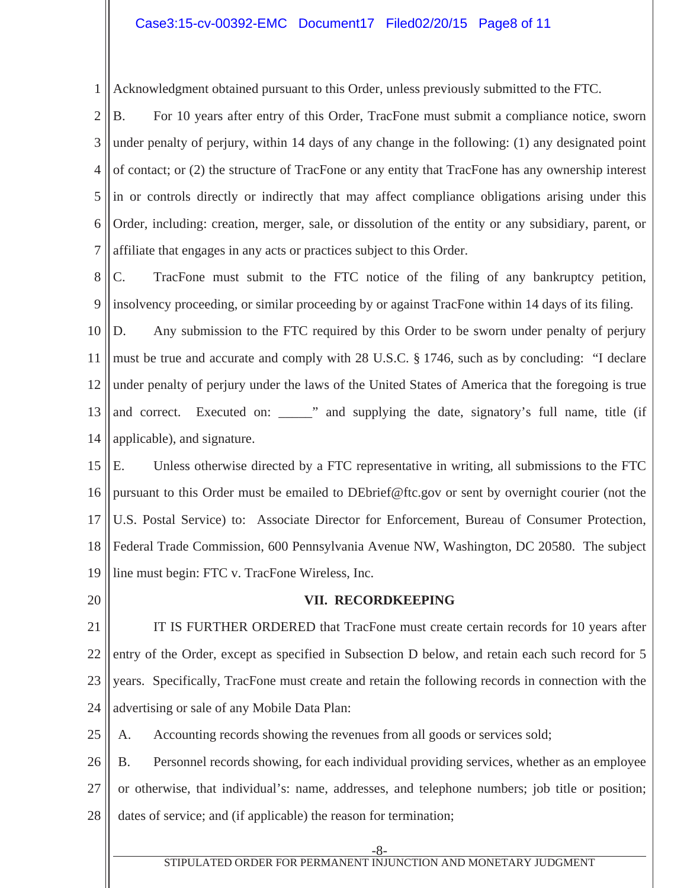### Case3:15-cv-00392-EMC Document17 Filed02/20/15 Page8 of 11

1 Acknowledgment obtained pursuant to this Order, unless previously submitted to the FTC.

2 3 4 5 6 7 B. For 10 years after entry of this Order, TracFone must submit a compliance notice, sworn under penalty of perjury, within 14 days of any change in the following: (1) any designated point of contact; or (2) the structure of TracFone or any entity that TracFone has any ownership interest in or controls directly or indirectly that may affect compliance obligations arising under this Order, including: creation, merger, sale, or dissolution of the entity or any subsidiary, parent, or affiliate that engages in any acts or practices subject to this Order.

8 9 C. TracFone must submit to the FTC notice of the filing of any bankruptcy petition, insolvency proceeding, or similar proceeding by or against TracFone within 14 days of its filing.

10 11 12 13 14 D. Any submission to the FTC required by this Order to be sworn under penalty of perjury must be true and accurate and comply with 28 U.S.C. § 1746, such as by concluding: "I declare under penalty of perjury under the laws of the United States of America that the foregoing is true and correct. Executed on: \_\_\_\_\_" and supplying the date, signatory's full name, title (if applicable), and signature.

15 16 17 18 19 E. Unless otherwise directed by a FTC representative in writing, all submissions to the FTC pursuant to this Order must be emailed to DEbrief@ftc.gov or sent by overnight courier (not the U.S. Postal Service) to: Associate Director for Enforcement, Bureau of Consumer Protection, Federal Trade Commission, 600 Pennsylvania Avenue NW, Washington, DC 20580. The subject line must begin: FTC v. TracFone Wireless, Inc.

20

#### **VII. RECORDKEEPING**

21 22 23 24 IT IS FURTHER ORDERED that TracFone must create certain records for 10 years after entry of the Order, except as specified in Subsection D below, and retain each such record for 5 years. Specifically, TracFone must create and retain the following records in connection with the advertising or sale of any Mobile Data Plan:

25 A. Accounting records showing the revenues from all goods or services sold;

26 27 28 B. Personnel records showing, for each individual providing services, whether as an employee or otherwise, that individual's: name, addresses, and telephone numbers; job title or position; dates of service; and (if applicable) the reason for termination;

-8-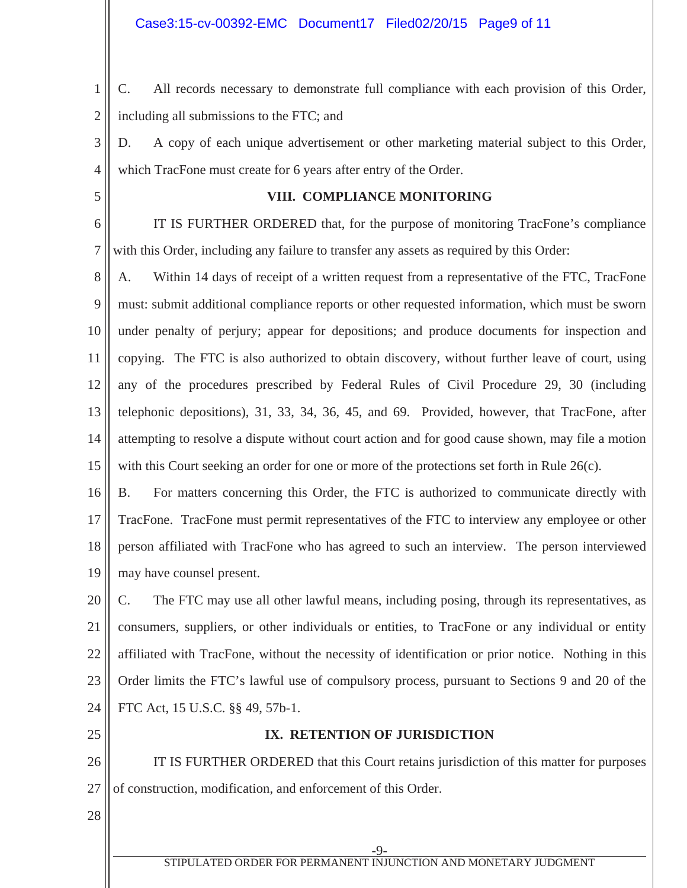1 2 C. All records necessary to demonstrate full compliance with each provision of this Order, including all submissions to the FTC; and

3 4 D. A copy of each unique advertisement or other marketing material subject to this Order, which TracFone must create for 6 years after entry of the Order.

5

## **VIII. COMPLIANCE MONITORING**

6 7 IT IS FURTHER ORDERED that, for the purpose of monitoring TracFone's compliance with this Order, including any failure to transfer any assets as required by this Order:

8 9 10 11 12 13 14 15 A. Within 14 days of receipt of a written request from a representative of the FTC, TracFone must: submit additional compliance reports or other requested information, which must be sworn under penalty of perjury; appear for depositions; and produce documents for inspection and copying. The FTC is also authorized to obtain discovery, without further leave of court, using any of the procedures prescribed by Federal Rules of Civil Procedure 29, 30 (including telephonic depositions), 31, 33, 34, 36, 45, and 69. Provided, however, that TracFone, after attempting to resolve a dispute without court action and for good cause shown, may file a motion with this Court seeking an order for one or more of the protections set forth in Rule 26(c).

16 17 18 19 B. For matters concerning this Order, the FTC is authorized to communicate directly with TracFone. TracFone must permit representatives of the FTC to interview any employee or other person affiliated with TracFone who has agreed to such an interview. The person interviewed may have counsel present.

20 21 22 23 24 C. The FTC may use all other lawful means, including posing, through its representatives, as consumers, suppliers, or other individuals or entities, to TracFone or any individual or entity affiliated with TracFone, without the necessity of identification or prior notice. Nothing in this Order limits the FTC's lawful use of compulsory process, pursuant to Sections 9 and 20 of the FTC Act, 15 U.S.C. §§ 49, 57b-1.

25

# **IX. RETENTION OF JURISDICTION**

26 27 IT IS FURTHER ORDERED that this Court retains jurisdiction of this matter for purposes of construction, modification, and enforcement of this Order.

28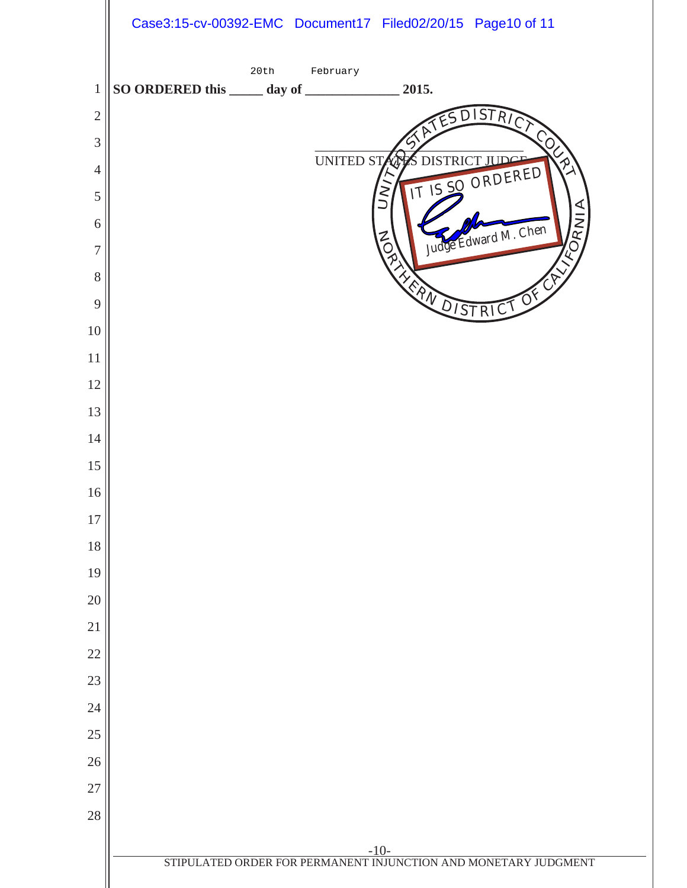